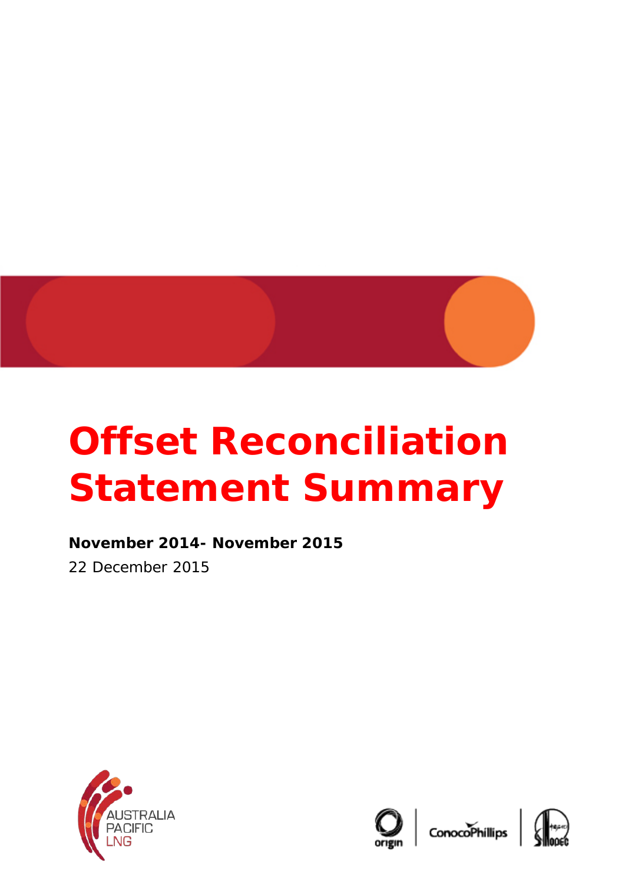

## **Offset Reconciliation Statement Summary**

**November 2014- November 2015**  22 December 2015





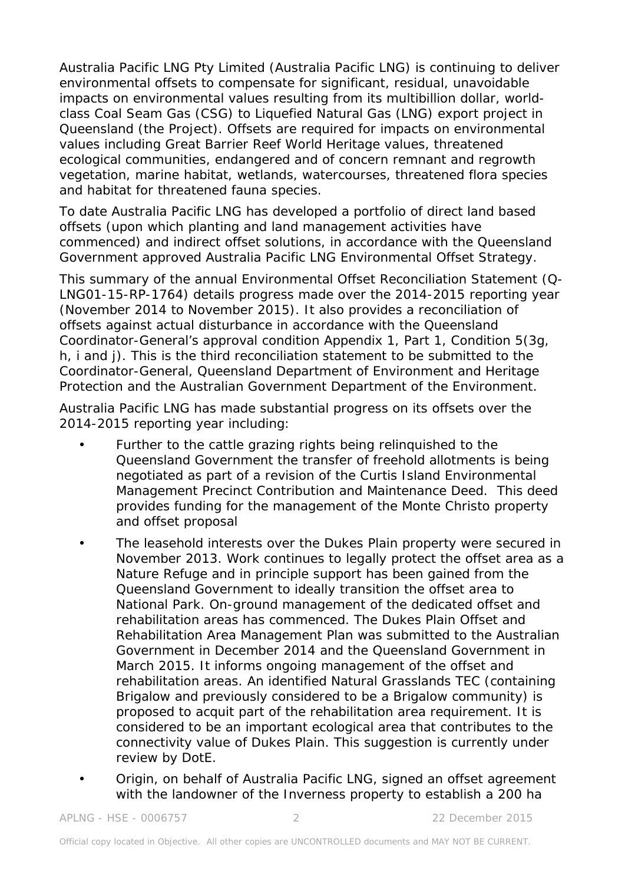Australia Pacific LNG Pty Limited (Australia Pacific LNG) is continuing to deliver environmental offsets to compensate for significant, residual, unavoidable impacts on environmental values resulting from its multibillion dollar, worldclass Coal Seam Gas (CSG) to Liquefied Natural Gas (LNG) export project in Queensland (the Project). Offsets are required for impacts on environmental values including Great Barrier Reef World Heritage values, threatened ecological communities, endangered and of concern remnant and regrowth vegetation, marine habitat, wetlands, watercourses, threatened flora species and habitat for threatened fauna species.

To date Australia Pacific LNG has developed a portfolio of direct land based offsets (upon which planting and land management activities have commenced) and indirect offset solutions, in accordance with the Queensland Government approved Australia Pacific LNG Environmental Offset Strategy.

This summary of the annual Environmental Offset Reconciliation Statement (Q-LNG01-15-RP-1764) details progress made over the 2014-2015 reporting year (November 2014 to November 2015). It also provides a reconciliation of offsets against actual disturbance in accordance with the Queensland Coordinator-General's approval condition Appendix 1, Part 1, Condition 5(3g, h, i and j). This is the third reconciliation statement to be submitted to the Coordinator-General, Queensland Department of Environment and Heritage Protection and the Australian Government Department of the Environment.

Australia Pacific LNG has made substantial progress on its offsets over the 2014-2015 reporting year including:

- Further to the cattle grazing rights being relinguished to the Queensland Government the transfer of freehold allotments is being negotiated as part of a revision of the Curtis Island Environmental Management Precinct Contribution and Maintenance Deed. This deed provides funding for the management of the Monte Christo property and offset proposal
- The leasehold interests over the Dukes Plain property were secured in November 2013. Work continues to legally protect the offset area as a Nature Refuge and in principle support has been gained from the Queensland Government to ideally transition the offset area to National Park. On-ground management of the dedicated offset and rehabilitation areas has commenced. The Dukes Plain Offset and Rehabilitation Area Management Plan was submitted to the Australian Government in December 2014 and the Queensland Government in March 2015. It informs ongoing management of the offset and rehabilitation areas. An identified Natural Grasslands TEC (containing Brigalow and previously considered to be a Brigalow community) is proposed to acquit part of the rehabilitation area requirement. It is considered to be an important ecological area that contributes to the connectivity value of Dukes Plain. This suggestion is currently under review by DotE.
- Origin, on behalf of Australia Pacific LNG, signed an offset agreement with the landowner of the Inverness property to establish a 200 ha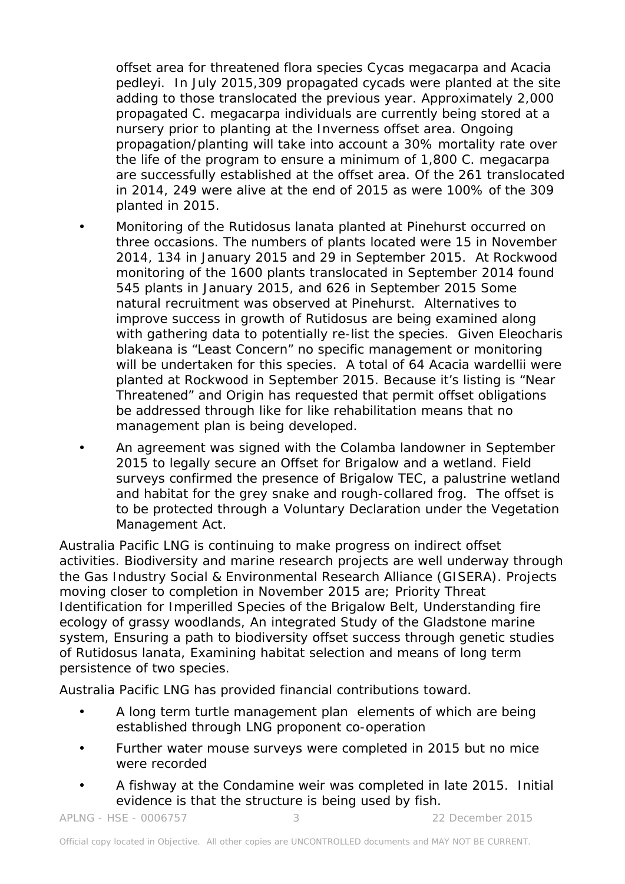offset area for threatened flora species Cycas megacarpa and Acacia pedleyi. In July 2015,309 propagated cycads were planted at the site adding to those translocated the previous year. Approximately 2,000 propagated C. megacarpa individuals are currently being stored at a nursery prior to planting at the Inverness offset area. Ongoing propagation/planting will take into account a 30% mortality rate over the life of the program to ensure a minimum of 1,800 C. megacarpa are successfully established at the offset area. Of the 261 translocated in 2014, 249 were alive at the end of 2015 as were 100% of the 309 planted in 2015.

- Monitoring of the Rutidosus lanata planted at Pinehurst occurred on three occasions. The numbers of plants located were 15 in November 2014, 134 in January 2015 and 29 in September 2015. At Rockwood monitoring of the 1600 plants translocated in September 2014 found 545 plants in January 2015, and 626 in September 2015 Some natural recruitment was observed at Pinehurst. Alternatives to improve success in growth of Rutidosus are being examined along with gathering data to potentially re-list the species. Given Eleocharis blakeana is "Least Concern" no specific management or monitoring will be undertaken for this species. A total of 64 Acacia wardellii were planted at Rockwood in September 2015. Because it's listing is "Near Threatened" and Origin has requested that permit offset obligations be addressed through like for like rehabilitation means that no management plan is being developed.
- An agreement was signed with the Colamba landowner in September 2015 to legally secure an Offset for Brigalow and a wetland. Field surveys confirmed the presence of Brigalow TEC, a palustrine wetland and habitat for the grey snake and rough-collared frog. The offset is to be protected through a Voluntary Declaration under the Vegetation Management Act.

Australia Pacific LNG is continuing to make progress on indirect offset activities. Biodiversity and marine research projects are well underway through the Gas Industry Social & Environmental Research Alliance (GISERA). Projects moving closer to completion in November 2015 are; Priority Threat Identification for Imperilled Species of the Brigalow Belt, Understanding fire ecology of grassy woodlands, An integrated Study of the Gladstone marine system, Ensuring a path to biodiversity offset success through genetic studies of Rutidosus lanata, Examining habitat selection and means of long term persistence of two species.

Australia Pacific LNG has provided financial contributions toward.

- A long term turtle management plan elements of which are being established through LNG proponent co-operation
- Further water mouse surveys were completed in 2015 but no mice were recorded
- A fishway at the Condamine weir was completed in late 2015. Initial evidence is that the structure is being used by fish.

APLNG - HSE - 0006757 3 22 December 2015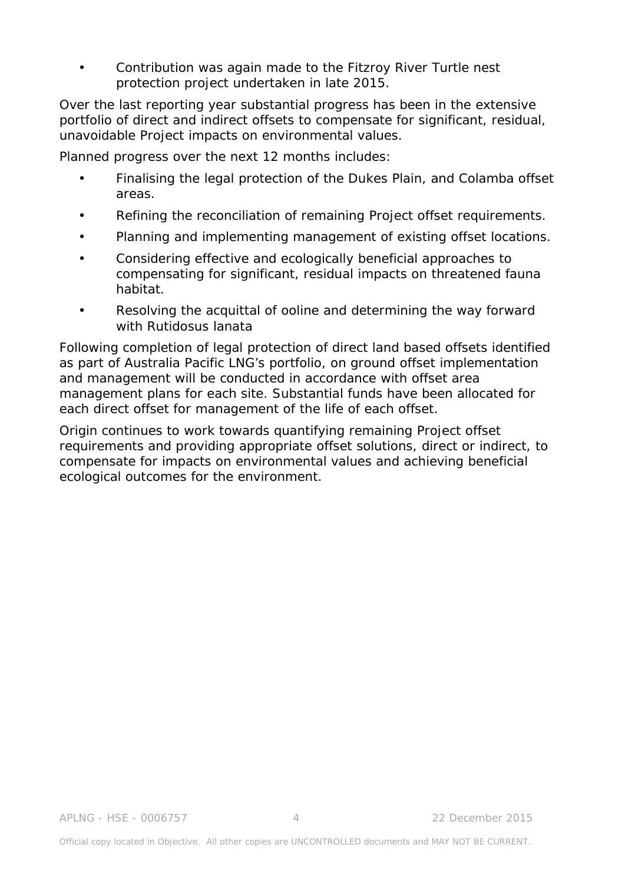• Contribution was again made to the Fitzroy River Turtle nest protection project undertaken in late 2015.

Over the last reporting year substantial progress has been in the extensive portfolio of direct and indirect offsets to compensate for significant, residual, unavoidable Project impacts on environmental values.

Planned progress over the next 12 months includes:

- Finalising the legal protection of the Dukes Plain, and Colamba offset areas.
- Refining the reconciliation of remaining Project offset requirements.
- Planning and implementing management of existing offset locations.
- Considering effective and ecologically beneficial approaches to compensating for significant, residual impacts on threatened fauna habitat.
- Resolving the acquittal of ooline and determining the way forward with Rutidosus lanata

Following completion of legal protection of direct land based offsets identified as part of Australia Pacific LNG's portfolio, on ground offset implementation and management will be conducted in accordance with offset area management plans for each site. Substantial funds have been allocated for each direct offset for management of the life of each offset.

Origin continues to work towards quantifying remaining Project offset requirements and providing appropriate offset solutions, direct or indirect, to compensate for impacts on environmental values and achieving beneficial ecological outcomes for the environment.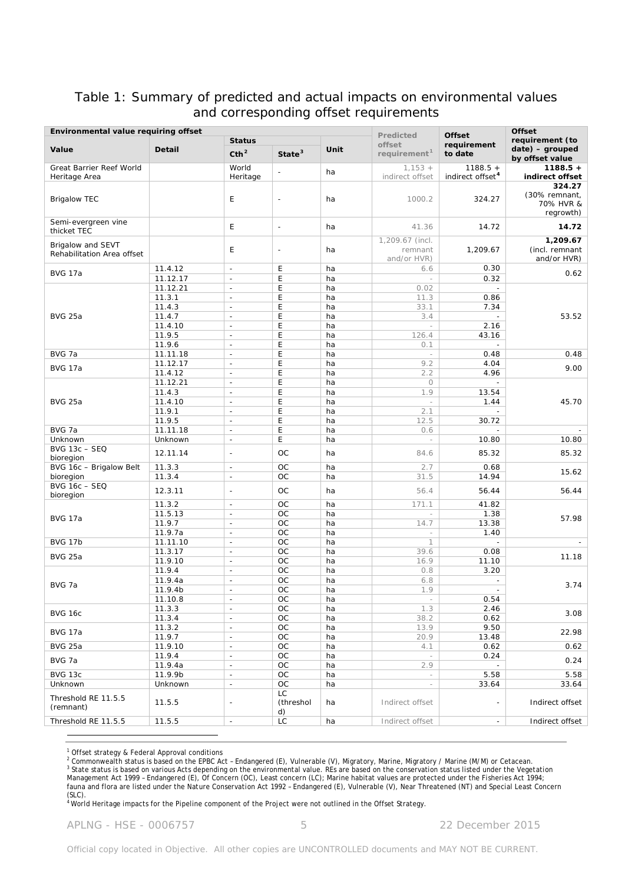## Table 1: Summary of predicted and actual impacts on environmental values and corresponding offset requirements

| Environmental value requiring offset |                    |                                                      |                            |          | Predicted                  | <b>Offset</b>                                        | <b>Offset</b>                        |  |
|--------------------------------------|--------------------|------------------------------------------------------|----------------------------|----------|----------------------------|------------------------------------------------------|--------------------------------------|--|
| Value                                | <b>Detail</b>      | <b>Status</b>                                        |                            |          | offset                     | requirement                                          | requirement (to                      |  |
|                                      |                    | Cth <sup>2</sup>                                     | State $3$                  | Unit     | requirement <sup>1</sup>   | to date                                              | $date) - grouped$<br>by offset value |  |
| Great Barrier Reef World             |                    | World                                                | $\overline{\phantom{a}}$   | ha       | $1,153 +$                  | $1188.5 +$                                           | $1188.5 +$                           |  |
| Heritage Area                        |                    | Heritage                                             |                            |          | indirect offset            | indirect offset <sup>4</sup>                         | indirect offset                      |  |
|                                      |                    |                                                      |                            |          |                            |                                                      | 324.27                               |  |
| <b>Brigalow TEC</b>                  |                    | E                                                    | $\overline{\phantom{a}}$   | ha       | 1000.2                     | 324.27                                               | (30% remnant,<br>70% HVR &           |  |
|                                      |                    |                                                      |                            |          |                            |                                                      | regrowth)                            |  |
| Semi-evergreen vine                  |                    | E                                                    | $\overline{\phantom{a}}$   | ha       | 41.36                      | 14.72                                                | 14.72                                |  |
| thicket TEC                          |                    |                                                      |                            |          |                            |                                                      |                                      |  |
| Brigalow and SEVT                    |                    | E                                                    | $\overline{\phantom{a}}$   | ha       | 1,209.67 (incl.<br>remnant | 1,209.67                                             | 1,209.67<br>(incl. remnant           |  |
| Rehabilitation Area offset           |                    |                                                      |                            |          | and/or HVR)                |                                                      | and/or HVR)                          |  |
|                                      | 11.4.12            | $\blacksquare$                                       | E                          | ha       | 6.6                        | 0.30                                                 |                                      |  |
| <b>BVG 17a</b>                       | 11.12.17           | $\mathcal{L}^{\mathcal{A}}$                          | E                          | ha       | $\sim$                     | 0.32                                                 | 0.62                                 |  |
|                                      | 11.12.21           | $\overline{\phantom{a}}$                             | $\mathsf E$                | ha       | 0.02                       | $\overline{\phantom{a}}$                             |                                      |  |
|                                      | 11.3.1             | $\overline{\phantom{a}}$                             | E                          | ha       | 11.3                       | 0.86                                                 |                                      |  |
| <b>BVG 25a</b>                       | 11.4.3<br>11.4.7   | $\overline{\phantom{a}}$<br>$\overline{\phantom{a}}$ | $\mathsf E$<br>E           | ha<br>ha | 33.1<br>3.4                | 7.34<br>$\overline{\phantom{a}}$                     | 53.52                                |  |
|                                      | 11.4.10            | $\overline{\phantom{a}}$                             | $\mathsf E$                | ha       | $\overline{\phantom{a}}$   | 2.16                                                 |                                      |  |
|                                      | 11.9.5             | $\overline{\phantom{a}}$                             | E                          | ha       | 126.4                      | 43.16                                                |                                      |  |
|                                      | 11.9.6             | $\overline{\phantom{a}}$                             | $\mathsf E$                | ha       | 0.1                        | $\overline{a}$                                       |                                      |  |
| BVG 7a                               | 11.11.18           | $\overline{\phantom{a}}$                             | E                          | ha       | $\sim$                     | 0.48                                                 | 0.48                                 |  |
| <b>BVG 17a</b>                       | 11.12.17           | $\overline{\phantom{a}}$                             | E                          | ha       | 9.2                        | 4.04                                                 | 9.00                                 |  |
|                                      | 11.4.12            | $\overline{\phantom{a}}$                             | E                          | ha       | 2.2                        | 4.96                                                 |                                      |  |
|                                      | 11.12.21<br>11.4.3 | $\overline{\phantom{a}}$<br>$\overline{\phantom{a}}$ | $\mathsf E$<br>E           | ha<br>ha | $\circlearrowright$<br>1.9 | $\overline{a}$<br>13.54                              |                                      |  |
| <b>BVG 25a</b>                       | 11.4.10            | $\overline{\phantom{a}}$                             | $\mathsf E$                | ha       | $\sim$                     | 1.44                                                 | 45.70                                |  |
|                                      | 11.9.1             | $\overline{\phantom{a}}$                             | E                          | ha       | 2.1                        |                                                      |                                      |  |
|                                      | 11.9.5             | $\overline{\phantom{a}}$                             | E                          | ha       | 12.5                       | 30.72                                                |                                      |  |
| BVG 7a                               | 11.11.18           | $\mathcal{L}^{\mathcal{A}}$                          | E                          | ha       | 0.6                        |                                                      |                                      |  |
| Unknown                              | Unknown            | $\overline{\phantom{a}}$                             | E                          | ha       | $\overline{\phantom{a}}$   | 10.80                                                | 10.80                                |  |
| <b>BVG 13c - SEQ</b><br>bioregion    | 12.11.14           | $\overline{a}$                                       | OC                         | ha       | 84.6                       | 85.32                                                | 85.32                                |  |
| BVG 16c - Brigalow Belt              | 11.3.3             | $\mathcal{L}^{\mathcal{L}}$                          | OC                         | ha       | 2.7                        | 0.68                                                 |                                      |  |
| bioregion                            | 11.3.4             | $\overline{\phantom{m}}$                             | OC                         | ha       | 31.5                       | 14.94                                                | 15.62                                |  |
| <b>BVG 16c - SEQ</b>                 | 12.3.11            | $\sim$                                               | ОC                         | ha       | 56.4                       | 56.44                                                | 56.44                                |  |
| bioregion                            |                    |                                                      |                            |          |                            |                                                      |                                      |  |
|                                      | 11.3.2             | $\mathbb{L}$                                         | OC<br>OC                   | ha       | 171.1                      | 41.82                                                |                                      |  |
| <b>BVG 17a</b>                       | 11.5.13<br>11.9.7  | $\overline{\phantom{a}}$<br>$\overline{\phantom{a}}$ | <b>OC</b>                  | ha<br>ha | $\sim$<br>14.7             | 1.38<br>13.38                                        | 57.98                                |  |
|                                      | 11.9.7a            | $\overline{\phantom{m}}$                             | OC                         | ha       | $\overline{\phantom{a}}$   | 1.40                                                 |                                      |  |
| <b>BVG 17b</b>                       | 11.11.10           | $\overline{\phantom{a}}$                             | <b>OC</b>                  | ha       | $\mathbf 1$                | $\overline{\phantom{a}}$                             | $\sim$                               |  |
| <b>BVG 25a</b>                       | 11.3.17            | $\blacksquare$                                       | OC                         | ha       | 39.6                       | 0.08                                                 | 11.18                                |  |
|                                      | 11.9.10            | $\mathbb{L}$                                         | OC                         | ha       | 16.9                       | 11.10                                                |                                      |  |
|                                      | 11.9.4             | $\overline{\phantom{a}}$                             | OC<br><b>OC</b>            | ha<br>ha | 0.8                        | 3.20                                                 |                                      |  |
| BVG 7a                               | 11.9.4a<br>11.9.4b | $\overline{\phantom{a}}$<br>$\overline{\phantom{a}}$ | <b>OC</b>                  | ha       | 6.8<br>1.9                 | $\overline{\phantom{a}}$<br>$\overline{\phantom{a}}$ | 3.74                                 |  |
|                                      | 11.10.8            | $\overline{\phantom{a}}$                             | $_{\rm OC}$                | ha       | $\overline{\phantom{a}}$   | 0.54                                                 |                                      |  |
|                                      | 11.3.3             | $\overline{\phantom{a}}$                             | $_{\rm OC}$                | ha       | 1.3                        | 2.46                                                 |                                      |  |
| <b>BVG 16c</b>                       | 11.3.4             | $\overline{\phantom{a}}$                             | $_{\rm OC}$                | ha       | 38.2                       | 0.62                                                 | 3.08                                 |  |
| <b>BVG 17a</b>                       | 11.3.2             | $\overline{\phantom{m}}$                             | OC                         | ha       | 13.9                       | 9.50                                                 | 22.98                                |  |
|                                      | 11.9.7             | $\Box$                                               | $_{\rm OC}$                | ha       | 20.9                       | 13.48                                                |                                      |  |
| <b>BVG 25a</b>                       | 11.9.10<br>11.9.4  | $\overline{\phantom{m}}$<br>$\overline{\phantom{a}}$ | $_{\rm OC}$<br>$_{\rm OC}$ | ha<br>ha | 4.1<br>$\sim$              | 0.62<br>0.24                                         | 0.62                                 |  |
| BVG 7a                               | 11.9.4a            | $\overline{\phantom{a}}$                             | $_{\rm OC}$                | ha       | 2.9                        |                                                      | 0.24                                 |  |
| BVG 13c                              | 11.9.9b            | $\sim$                                               | $_{\rm OC}$                | ha       | $\overline{\phantom{a}}$   | 5.58                                                 | 5.58                                 |  |
| Unknown                              | Unknown            | $\overline{\phantom{a}}$                             | OC                         | ha       | $\overline{\phantom{a}}$   | 33.64                                                | 33.64                                |  |
| Threshold RE 11.5.5                  |                    |                                                      | LC                         |          |                            |                                                      |                                      |  |
| (remnant)                            | 11.5.5             | $\overline{\phantom{a}}$                             | (threshol                  | ha       | Indirect offset            |                                                      | Indirect offset                      |  |
| Threshold RE 11.5.5                  | 11.5.5             | $\blacksquare$                                       | d)<br>LC                   | ha       | Indirect offset            |                                                      | Indirect offset                      |  |
|                                      |                    |                                                      |                            |          |                            |                                                      |                                      |  |
|                                      |                    |                                                      |                            |          |                            |                                                      |                                      |  |

<span id="page-4-0"></span><sup>1</sup> Offset strategy & Federal Approval conditions

 $^2$  Commonwealth status is based on the EPBC Act - Endangered (E), Vulnerable (V), Migratory, Marine, Migratory / Marine (M/M) or Cetacean. <sup>3</sup> State status is based on various Acts depending on the environmental value. REs are based on the conservation status listed under the *Vegetation* 

<span id="page-4-2"></span><span id="page-4-1"></span>*Management Act 1999* – Endangered (E), Of Concern (OC), Least concern (LC); Marine habitat values are protected under the *Fisheries Act 1994*; fauna and flora are listed under the *Nature Conservation Act 1992* – Endangered (E), Vulnerable (V), Near Threatened (NT) and Special Least Concern (SLC). <sup>4</sup> World Heritage impacts for the Pipeline component of the Project were not outlined in the Offset Strategy.

<span id="page-4-3"></span>

APLNG - HSE - 0006757 5 22 December 2015

Official copy located in Objective. All other copies are UNCONTROLLED documents and MAY NOT BE CURRENT.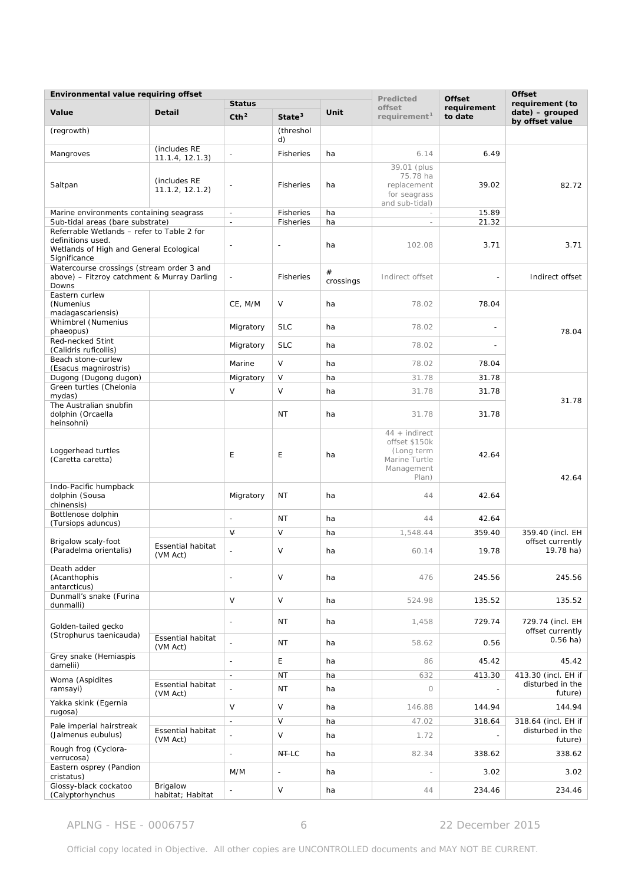| Environmental value requiring offset                                                                                       |                                      |                                   |                    |                | Predicted                                                                              | <b>Offset</b>                      | <b>Offset</b>                                           |
|----------------------------------------------------------------------------------------------------------------------------|--------------------------------------|-----------------------------------|--------------------|----------------|----------------------------------------------------------------------------------------|------------------------------------|---------------------------------------------------------|
| Value                                                                                                                      | <b>Detail</b>                        | <b>Status</b><br>Cth <sup>2</sup> | State <sup>3</sup> | Unit           | offset<br>requirement <sup>1</sup>                                                     | requirement<br>to date             | requirement (to<br>$date)$ – grouped<br>by offset value |
| (regrowth)                                                                                                                 |                                      |                                   | (threshol<br>d)    |                |                                                                                        |                                    |                                                         |
| Mangroves                                                                                                                  | (includes RE<br>11.1.4, 12.1.3)      | $\overline{a}$                    | <b>Fisheries</b>   | ha             | 6.14                                                                                   | 6.49                               |                                                         |
| Saltpan                                                                                                                    | (includes RE<br>11.1.2, 12.1.2)      |                                   | Fisheries          | ha             | 39.01 (plus<br>75.78 ha<br>replacement<br>for seagrass<br>and sub-tidal)               | 39.02                              | 82.72                                                   |
| Marine environments containing seagrass                                                                                    |                                      | $\overline{\phantom{a}}$          | <b>Fisheries</b>   | ha             |                                                                                        | 15.89                              |                                                         |
| Sub-tidal areas (bare substrate)                                                                                           |                                      | $\overline{\phantom{a}}$          | <b>Fisheries</b>   | ha             | $\overline{\phantom{a}}$                                                               | 21.32                              |                                                         |
| Referrable Wetlands - refer to Table 2 for<br>definitions used.<br>Wetlands of High and General Ecological<br>Significance |                                      | $\overline{\phantom{a}}$          | $\overline{a}$     | ha             | 102.08                                                                                 | 3.71                               | 3.71                                                    |
| Watercourse crossings (stream order 3 and<br>above) – Fitzroy catchment & Murray Darling<br>Downs                          |                                      | $\overline{a}$                    | <b>Fisheries</b>   | #<br>crossings | Indirect offset                                                                        |                                    | Indirect offset                                         |
| Eastern curlew<br>(Numenius<br>madagascariensis)                                                                           |                                      | CE, M/M                           | V                  | ha             | 78.02                                                                                  | 78.04                              |                                                         |
| Whimbrel (Numenius<br>phaeopus)                                                                                            |                                      | Migratory                         | <b>SLC</b>         | ha             | 78.02                                                                                  |                                    | 78.04                                                   |
| Red-necked Stint<br>(Calidris ruficollis)                                                                                  |                                      | Migratory                         | <b>SLC</b>         | ha             | 78.02                                                                                  | $\overline{a}$                     |                                                         |
| Beach stone-curlew<br>(Esacus magnirostris)                                                                                |                                      | Marine                            | $\vee$             | ha             | 78.02                                                                                  | 78.04                              |                                                         |
| Dugong (Dugong dugon)                                                                                                      |                                      | Migratory                         | $\vee$             | ha             | 31.78                                                                                  | 31.78                              |                                                         |
| Green turtles (Chelonia<br>mydas)                                                                                          |                                      | $\vee$                            | $\vee$             | ha             | 31.78                                                                                  | 31.78                              | 31.78                                                   |
| The Australian snubfin<br>dolphin (Orcaella<br>heinsohni)                                                                  |                                      |                                   | <b>NT</b>          | ha             | 31.78                                                                                  | 31.78                              |                                                         |
| Loggerhead turtles<br>(Caretta caretta)                                                                                    |                                      | E                                 | E                  | ha             | $44 + indirect$<br>offset \$150k<br>(Long term<br>Marine Turtle<br>Management<br>Plan) | 42.64                              | 42.64                                                   |
| Indo-Pacific humpback<br>dolphin (Sousa<br>chinensis)                                                                      |                                      | Migratory                         | NT                 | ha             | 44                                                                                     | 42.64                              |                                                         |
| Bottlenose dolphin<br>(Tursiops aduncus)                                                                                   |                                      | $\overline{\phantom{a}}$          | <b>NT</b>          | ha             | 44                                                                                     | 42.64                              |                                                         |
|                                                                                                                            |                                      | $\sqrt{ }$                        | V                  | ha             | 1,548.44                                                                               | 359.40                             | 359.40 (incl. EH                                        |
| Brigalow scaly-foot<br>(Paradelma orientalis)                                                                              | Essential habitat<br>(VM Act)        |                                   | $\vee$             | ha             | 60.14                                                                                  | 19.78                              | offset currently<br>19.78 ha)                           |
| Death adder<br>(Acanthophis<br>antarcticus)                                                                                |                                      | $\overline{\phantom{a}}$          | $\vee$             | ha             | 476                                                                                    | 245.56                             | 245.56                                                  |
| Dunmall's snake (Furina<br>dunmalli)                                                                                       |                                      | $\vee$                            | V                  | ha             | 524.98                                                                                 | 135.52                             | 135.52                                                  |
| Golden-tailed gecko<br>(Strophurus taenicauda)                                                                             |                                      | $\overline{\phantom{a}}$          | NT                 | ha             | 1,458                                                                                  | 729.74                             | 729.74 (incl. EH<br>offset currently                    |
|                                                                                                                            | <b>Essential habitat</b><br>(VM Act) |                                   | NT                 | ha             | 58.62                                                                                  | 0.56                               | $0.56$ ha)                                              |
| Grey snake (Hemiaspis<br>damelii)                                                                                          |                                      | $\sim$                            | E                  | ha             | 86                                                                                     | 45.42                              | 45.42                                                   |
| Woma (Aspidites                                                                                                            |                                      | $\blacksquare$                    | <b>NT</b>          | ha             | 632                                                                                    | 413.30                             | 413.30 (incl. EH if                                     |
| ramsayi)                                                                                                                   | <b>Essential habitat</b><br>(VM Act) |                                   | <b>NT</b>          | ha             | 0                                                                                      | $\frac{1}{2}$                      | disturbed in the<br>future)                             |
| Yakka skink (Egernia<br>rugosa)                                                                                            |                                      | V                                 | V                  | ha             | 146.88                                                                                 | 144.94                             | 144.94                                                  |
| Pale imperial hairstreak<br>(Jalmenus eubulus)                                                                             | Essential habitat                    | $\blacksquare$                    | V<br>$\vee$        | ha<br>ha       | 47.02<br>1.72                                                                          | 318.64<br>$\overline{\phantom{a}}$ | 318.64 (incl. EH if<br>disturbed in the                 |
| Rough frog (Cyclora-                                                                                                       | (VM Act)                             | $\overline{a}$                    | <b>NT-LC</b>       | ha             | 82.34                                                                                  | 338.62                             | future)<br>338.62                                       |
| verrucosa)<br>Eastern osprey (Pandion<br>cristatus)                                                                        |                                      | M/M                               | $\overline{a}$     | ha             |                                                                                        | 3.02                               | 3.02                                                    |
| Glossy-black cockatoo<br>(Calyptorhynchus                                                                                  | Brigalow<br>habitat; Habitat         |                                   | $\vee$             | ha             | 44                                                                                     | 234.46                             | 234.46                                                  |

APLNG - HSE - 0006757 6 6 22 December 2015

Official copy located in Objective. All other copies are UNCONTROLLED documents and MAY NOT BE CURRENT.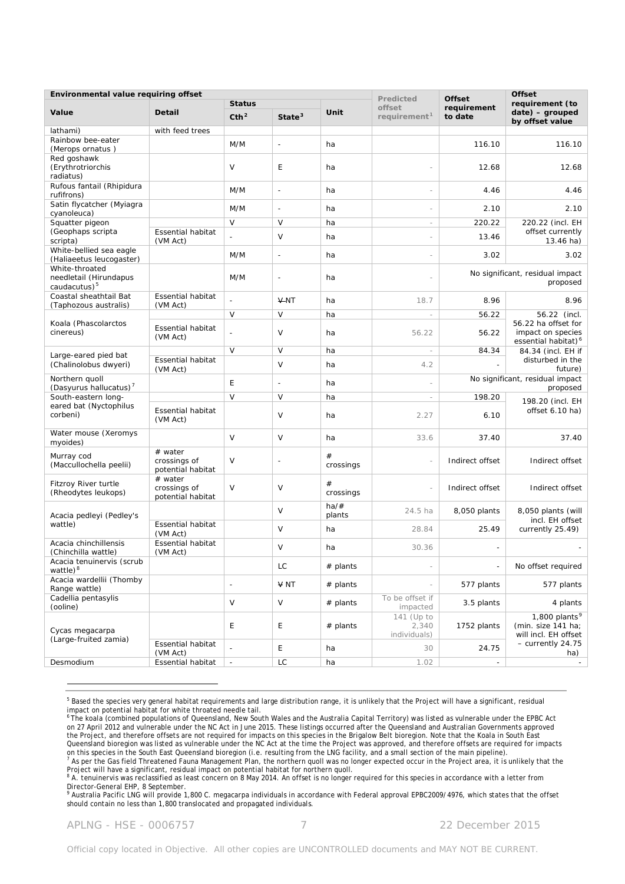| Environmental value requiring offset                                 |                                              |                          |                          |                      |                                     | <b>Offset</b><br><b>Offset</b> |                                                                             |
|----------------------------------------------------------------------|----------------------------------------------|--------------------------|--------------------------|----------------------|-------------------------------------|--------------------------------|-----------------------------------------------------------------------------|
|                                                                      |                                              | <b>Status</b>            |                          |                      | Predicted<br>offset                 | requirement                    | requirement (to                                                             |
| Value                                                                | <b>Detail</b>                                | Cth <sup>2</sup>         | State <sup>3</sup>       | Unit                 | requirement <sup>1</sup>            | to date                        | $date) - grouped$<br>by offset value                                        |
| lathami)                                                             | with feed trees                              |                          |                          |                      |                                     |                                |                                                                             |
| Rainbow bee-eater<br>(Merops ornatus)                                |                                              | M/M                      | $\overline{a}$           | ha                   |                                     | 116.10                         | 116.10                                                                      |
| Red goshawk<br>(Erythrotriorchis<br>radiatus)                        |                                              | V                        | E                        | ha                   |                                     | 12.68                          | 12.68                                                                       |
| Rufous fantail (Rhipidura<br>rufifrons)                              |                                              | M/M                      | $\overline{\phantom{a}}$ | ha                   | $\overline{\phantom{a}}$            | 4.46                           | 4.46                                                                        |
| Satin flycatcher (Myiagra<br>cyanoleuca)                             |                                              | M/M                      | $\overline{a}$           | ha                   |                                     | 2.10                           | 2.10                                                                        |
| Squatter pigeon                                                      |                                              | V                        | V                        | ha                   | $\overline{\phantom{a}}$            | 220.22                         | 220.22 (incl. EH                                                            |
| (Geophaps scripta<br>scripta)                                        | <b>Essential habitat</b><br>(VM Act)         |                          | $\vee$                   | ha                   |                                     | 13.46                          | offset currently<br>13.46 ha)                                               |
| White-bellied sea eagle<br>(Haliaeetus leucogaster)                  |                                              | M/M                      | $\overline{a}$           | ha                   | $\overline{a}$                      | 3.02                           | 3.02                                                                        |
| White-throated<br>needletail (Hirundapus<br>caudacutus) <sup>5</sup> |                                              | M/M                      | $\overline{a}$           | ha                   |                                     |                                | No significant, residual impact<br>proposed                                 |
| Coastal sheathtail Bat<br>(Taphozous australis)                      | <b>Essential habitat</b><br>(VM Act)         |                          | <b>V-NT</b>              | ha                   | 18.7                                | 8.96                           | 8.96                                                                        |
|                                                                      |                                              | $\vee$                   | V                        | ha                   | $\sim$                              | 56.22                          | 56.22 (incl.                                                                |
| Koala (Phascolarctos<br>cinereus)                                    | <b>Essential habitat</b><br>(VM Act)         | ÷,                       | $\vee$                   | ha                   | 56.22                               | 56.22                          | 56.22 ha offset for<br>impact on species<br>essential habitat) <sup>6</sup> |
| Large-eared pied bat                                                 |                                              | $\vee$                   | $\vee$                   | ha                   | $\sim$                              | 84.34                          | 84.34 (incl. EH if                                                          |
| (Chalinolobus dwyeri)                                                | <b>Essential habitat</b><br>(VM Act)         |                          | $\vee$                   | ha                   | 4.2                                 |                                | disturbed in the<br>future)                                                 |
| Northern quoll<br>(Dasyurus hallucatus) <sup>7</sup>                 |                                              | E                        | $\overline{a}$           | ha                   |                                     |                                | No significant, residual impact<br>proposed                                 |
| South-eastern long-                                                  |                                              | $\vee$                   | V                        | ha                   | $\overline{\phantom{a}}$            | 198.20                         | 198.20 (incl. EH                                                            |
| eared bat (Nyctophilus<br>corbeni)                                   | <b>Essential habitat</b><br>(VM Act)         |                          | $\vee$                   | ha                   | 2.27                                | 6.10                           | offset 6.10 ha)                                                             |
| Water mouse (Xeromys<br>myoides)                                     |                                              | $\vee$                   | $\vee$                   | ha                   | 33.6                                | 37.40                          | 37.40                                                                       |
| Murray cod<br>(Maccullochella peelii)                                | # water<br>crossings of<br>potential habitat | V                        | $\overline{a}$           | $^{\#}$<br>crossings |                                     | Indirect offset                | Indirect offset                                                             |
| Fitzroy River turtle<br>(Rheodytes leukops)                          | # water<br>crossings of<br>potential habitat | V                        | V                        | $^{\#}$<br>crossings | $\overline{\phantom{a}}$            | Indirect offset                | Indirect offset                                                             |
| Acacia pedleyi (Pedley's                                             |                                              |                          | V                        | $ha/\#$<br>plants    | 24.5 ha                             | 8,050 plants                   | 8,050 plants (will<br>incl. EH offset<br>currently 25.49)                   |
| wattle)                                                              | <b>Essential habitat</b><br>(VM Act)         |                          | V                        | ha                   | 28.84                               | 25.49                          |                                                                             |
| Acacia chinchillensis<br>(Chinchilla wattle)                         | <b>Essential habitat</b><br>(VM Act)         |                          | $\vee$                   | ha                   | 30.36                               |                                |                                                                             |
| Acacia tenuinervis (scrub<br>wattle) <sup>8</sup>                    |                                              |                          | LC                       | $#$ plants           |                                     |                                | No offset required                                                          |
| Acacia wardellii (Thomby<br>Range wattle)                            |                                              | $\overline{\phantom{a}}$ | <b>∀ NT</b>              | $#$ plants           |                                     | 577 plants                     | 577 plants                                                                  |
| Cadellia pentasylis<br>(ooline)                                      |                                              | V                        | V                        | $#$ plants           | To be offset if<br>impacted         | 3.5 plants                     | 4 plants                                                                    |
| Cycas megacarpa<br>(Large-fruited zamia)                             |                                              | Ε                        | E                        | $#$ plants           | 141 (Up to<br>2,340<br>individuals) | 1752 plants                    | 1,800 plants $9$<br>(min. size 141 ha;<br>will incl. EH offset              |
|                                                                      | Essential habitat<br>(VM Act)                |                          | E                        | ha                   | 30                                  | 24.75                          | - currently 24.75<br>ha)                                                    |
| Desmodium                                                            | Essential habitat                            | $\blacksquare$           | LC                       | ha                   | 1.02                                | $\overline{\phantom{a}}$       | $\sim$                                                                      |

<span id="page-6-0"></span><sup>5</sup> Based the species very general habitat requirements and large distribution range, it is unlikely that the Project will have a significant, residual

<span id="page-6-1"></span>impact on potential habitat for white throated needle tail.<br><sup>6</sup> The koala (combined populations of Queensland, New South Wales and the Australia Capital Territory) was listed as vulnerable under the EPBC Act on 27 April 2012 and vulnerable under the NC Act in June 2015. These listings occurred after the Queensland and Australian Governments approved the Project, and therefore offsets are not required for impacts on this species in the Brigalow Belt bioregion. Note that the Koala in South East Queensland bioregion was listed as vulnerable under the NC Act at the time the Project was approved, and therefore offsets are required for impacts on this species in the South East Queensland bioregion (i.e. resulting from the LNG facility, and a small section of the main pipeline).<br><sup>7</sup> As per the Gas field Threatened Fauna Management Plan, the northern quoll was no

<span id="page-6-2"></span>Project will have a significant, residual impact on potential habitat for northern quotient was no longer expected occur in the Project area, it is univery the<br><sup>8</sup> A. tenuinervis was reclassified as least concern on 8 May

<span id="page-6-3"></span>Director-General EHP, 8 September.

<span id="page-6-4"></span><sup>9</sup> Australia Pacific LNG will provide 1,800 *C. megacarpa* individuals in accordance with Federal approval EPBC2009/4976, which states that the offset should contain no less than 1,800 translocated and propagated individuals.

APLNG - HSE - 0006757 7 22 December 2015

 $\overline{a}$ 

Official copy located in Objective. All other copies are UNCONTROLLED documents and MAY NOT BE CURRENT.